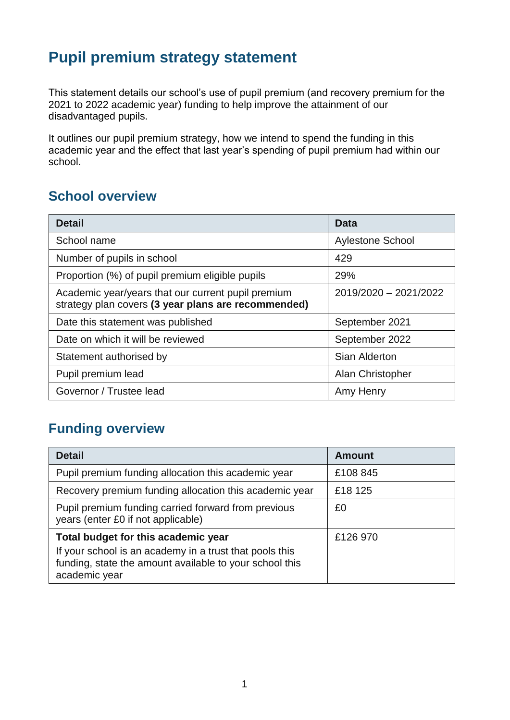## **Pupil premium strategy statement**

This statement details our school's use of pupil premium (and recovery premium for the 2021 to 2022 academic year) funding to help improve the attainment of our disadvantaged pupils.

It outlines our pupil premium strategy, how we intend to spend the funding in this academic year and the effect that last year's spending of pupil premium had within our school.

### **School overview**

| <b>Detail</b>                                                                                             | Data                    |
|-----------------------------------------------------------------------------------------------------------|-------------------------|
| School name                                                                                               | <b>Aylestone School</b> |
| Number of pupils in school                                                                                | 429                     |
| Proportion (%) of pupil premium eligible pupils                                                           | 29%                     |
| Academic year/years that our current pupil premium<br>strategy plan covers (3 year plans are recommended) | 2019/2020 - 2021/2022   |
| Date this statement was published                                                                         | September 2021          |
| Date on which it will be reviewed                                                                         | September 2022          |
| Statement authorised by                                                                                   | Sian Alderton           |
| Pupil premium lead                                                                                        | Alan Christopher        |
| Governor / Trustee lead                                                                                   | Amy Henry               |

### **Funding overview**

| <b>Detail</b>                                                                                                                       | <b>Amount</b> |
|-------------------------------------------------------------------------------------------------------------------------------------|---------------|
| Pupil premium funding allocation this academic year                                                                                 | £108 845      |
| Recovery premium funding allocation this academic year                                                                              | £18 125       |
| Pupil premium funding carried forward from previous<br>years (enter £0 if not applicable)                                           | £0            |
| Total budget for this academic year                                                                                                 | £126 970      |
| If your school is an academy in a trust that pools this<br>funding, state the amount available to your school this<br>academic year |               |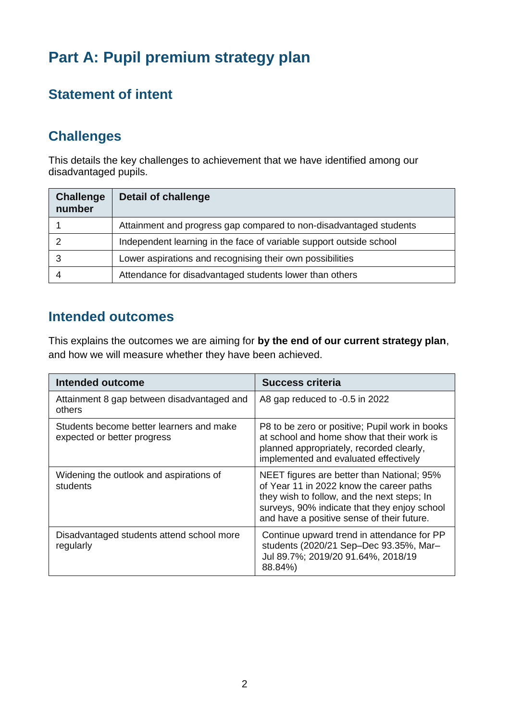# **Part A: Pupil premium strategy plan**

## **Statement of intent**

## **Challenges**

This details the key challenges to achievement that we have identified among our disadvantaged pupils.

| <b>Challenge</b><br>number | <b>Detail of challenge</b>                                          |
|----------------------------|---------------------------------------------------------------------|
|                            | Attainment and progress gap compared to non-disadvantaged students  |
|                            | Independent learning in the face of variable support outside school |
| 3                          | Lower aspirations and recognising their own possibilities           |
|                            | Attendance for disadvantaged students lower than others             |

#### **Intended outcomes**

This explains the outcomes we are aiming for **by the end of our current strategy plan**, and how we will measure whether they have been achieved.

| <b>Intended outcome</b>                                                 | <b>Success criteria</b>                                                                                                                                                                                                             |
|-------------------------------------------------------------------------|-------------------------------------------------------------------------------------------------------------------------------------------------------------------------------------------------------------------------------------|
| Attainment 8 gap between disadvantaged and<br>others                    | A8 gap reduced to -0.5 in 2022                                                                                                                                                                                                      |
| Students become better learners and make<br>expected or better progress | P8 to be zero or positive; Pupil work in books<br>at school and home show that their work is<br>planned appropriately, recorded clearly,<br>implemented and evaluated effectively                                                   |
| Widening the outlook and aspirations of<br>students                     | NEET figures are better than National; 95%<br>of Year 11 in 2022 know the career paths<br>they wish to follow, and the next steps; In<br>surveys, 90% indicate that they enjoy school<br>and have a positive sense of their future. |
| Disadvantaged students attend school more<br>regularly                  | Continue upward trend in attendance for PP<br>students (2020/21 Sep-Dec 93.35%, Mar-<br>Jul 89.7%; 2019/20 91.64%, 2018/19<br>88.84%)                                                                                               |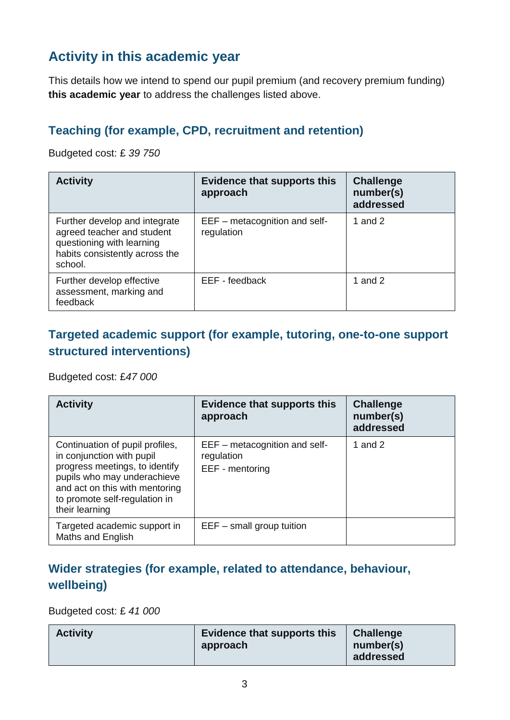## **Activity in this academic year**

This details how we intend to spend our pupil premium (and recovery premium funding) **this academic year** to address the challenges listed above.

#### **Teaching (for example, CPD, recruitment and retention)**

Budgeted cost: £ *39 750*

| <b>Activity</b>                                                                                                                       | <b>Evidence that supports this</b><br>approach | <b>Challenge</b><br>number(s)<br>addressed |
|---------------------------------------------------------------------------------------------------------------------------------------|------------------------------------------------|--------------------------------------------|
| Further develop and integrate<br>agreed teacher and student<br>questioning with learning<br>habits consistently across the<br>school. | EEF – metacognition and self-<br>regulation    | 1 and $2$                                  |
| Further develop effective<br>assessment, marking and<br>feedback                                                                      | EEF - feedback                                 | 1 and $2$                                  |

#### **Targeted academic support (for example, tutoring, one-to-one support structured interventions)**

Budgeted cost: £*47 000*

| <b>Activity</b>                                                                                                                                                                                                    | <b>Evidence that supports this</b><br>approach                 | <b>Challenge</b><br>number(s)<br>addressed |
|--------------------------------------------------------------------------------------------------------------------------------------------------------------------------------------------------------------------|----------------------------------------------------------------|--------------------------------------------|
| Continuation of pupil profiles,<br>in conjunction with pupil<br>progress meetings, to identify<br>pupils who may underachieve<br>and act on this with mentoring<br>to promote self-regulation in<br>their learning | EEF – metacognition and self-<br>regulation<br>EEF - mentoring | 1 and $2$                                  |
| Targeted academic support in<br>Maths and English                                                                                                                                                                  | $EEF - small$ group tuition                                    |                                            |

#### **Wider strategies (for example, related to attendance, behaviour, wellbeing)**

Budgeted cost: £ *41 000*

| <b>Activity</b> | <b>Evidence that supports this</b><br>approach | <b>Challenge</b><br>number(s)<br>addressed |
|-----------------|------------------------------------------------|--------------------------------------------|
|-----------------|------------------------------------------------|--------------------------------------------|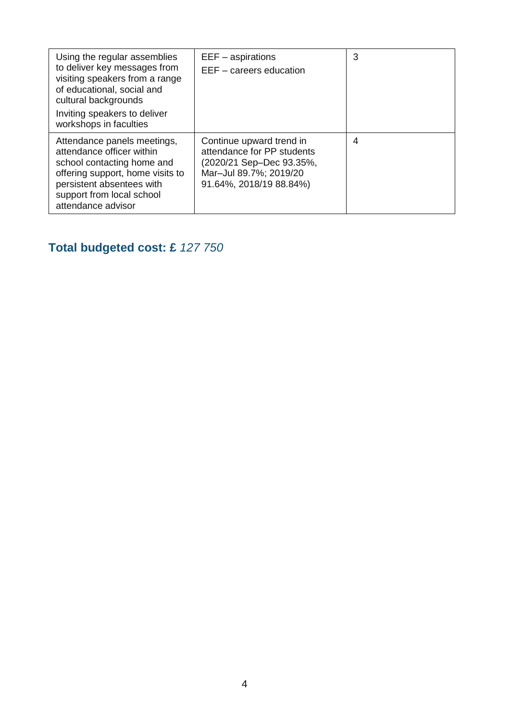| Using the regular assemblies<br>to deliver key messages from<br>visiting speakers from a range<br>of educational, social and<br>cultural backgrounds<br>Inviting speakers to deliver<br>workshops in faculties | $EEF -$ aspirations<br>EEF - careers education                                                                                          | 3 |
|----------------------------------------------------------------------------------------------------------------------------------------------------------------------------------------------------------------|-----------------------------------------------------------------------------------------------------------------------------------------|---|
| Attendance panels meetings,<br>attendance officer within<br>school contacting home and<br>offering support, home visits to<br>persistent absentees with<br>support from local school<br>attendance advisor     | Continue upward trend in<br>attendance for PP students<br>(2020/21 Sep-Dec 93.35%,<br>Mar-Jul 89.7%; 2019/20<br>91.64%, 2018/19 88.84%) | 4 |

## **Total budgeted cost: £** *127 750*